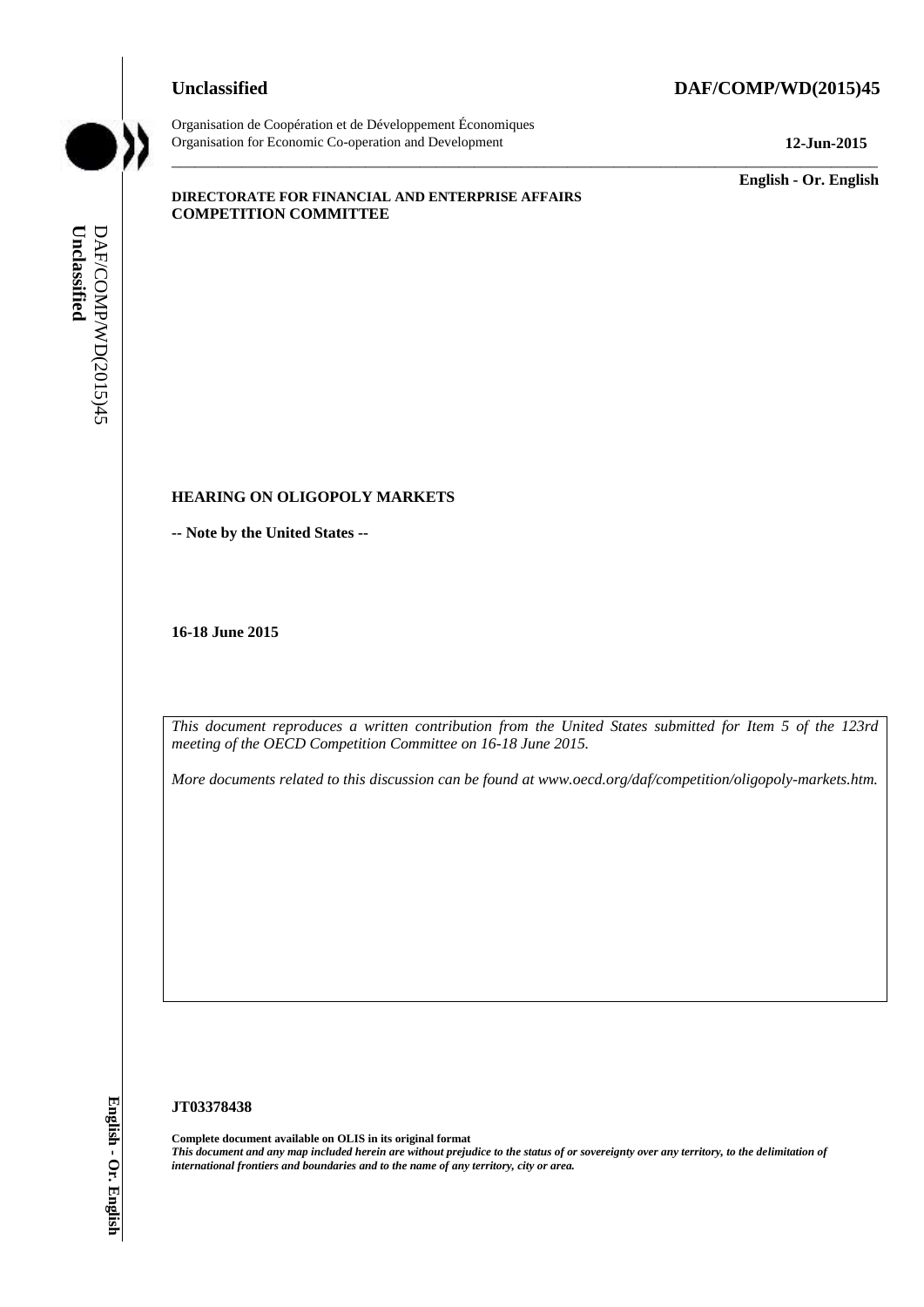### **Unclassified DAF/COMP/WD(2015)45**



Organisation de Coopération et de Développement Économiques Organisation for Economic Co-operation and Development **12-Jun-2015**

\_\_\_\_\_\_\_\_\_\_\_\_\_ **English - Or. English**

#### **DIRECTORATE FOR FINANCIAL AND ENTERPRISE AFFAIRS COMPETITION COMMITTEE**

### **HEARING ON OLIGOPOLY MARKETS**

**-- Note by the United States --**

**16-18 June 2015**

*This document reproduces a written contribution from the United States submitted for Item 5 of the 123rd meeting of the OECD Competition Committee on 16-18 June 2015.* 

 $\_$  ,  $\_$  ,  $\_$  ,  $\_$  ,  $\_$  ,  $\_$  ,  $\_$  ,  $\_$  ,  $\_$  ,  $\_$  ,  $\_$  ,  $\_$  ,  $\_$  ,  $\_$  ,  $\_$  ,  $\_$  ,  $\_$  ,  $\_$  ,  $\_$  ,  $\_$  ,  $\_$  ,  $\_$  ,  $\_$  ,  $\_$  ,  $\_$  ,  $\_$  ,  $\_$  ,  $\_$  ,  $\_$  ,  $\_$  ,  $\_$  ,  $\_$  ,  $\_$  ,  $\_$  ,  $\_$  ,  $\_$  ,  $\_$  ,

*More documents related to this discussion can be found at www.oecd.org/daf/competition/oligopoly-markets.htm.*

#### **JT03378438**

**Complete document available on OLIS in its original format** *This document and any map included herein are without prejudice to the status of or sovereignty over any territory, to the delimitation of*  **iii** *international frontiers and boundaries and boundaries and boundaries and to the name of any territory, city or area.* **If the name of any territory** or area. **Uncle DAF/COMP/WD(2015)45 <b>English - Composition** Comm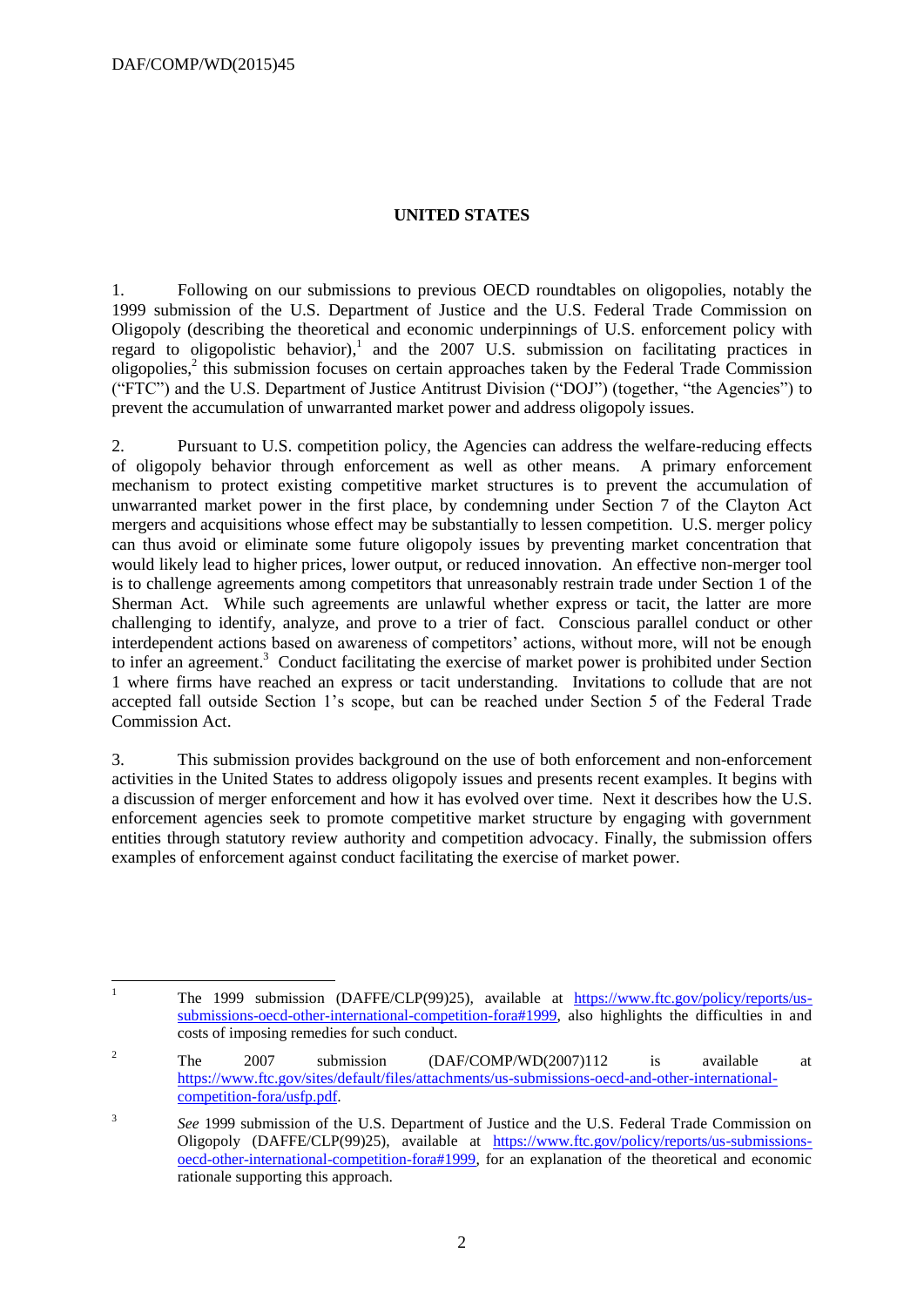$\overline{1}$ 

## **UNITED STATES**

1. Following on our submissions to previous OECD roundtables on oligopolies, notably the 1999 submission of the U.S. Department of Justice and the U.S. Federal Trade Commission on Oligopoly (describing the theoretical and economic underpinnings of U.S. enforcement policy with regard to oligopolistic behavior), 1 and the 2007 U.S. submission on facilitating practices in oligopolies,<sup>2</sup> this submission focuses on certain approaches taken by the Federal Trade Commission ("FTC") and the U.S. Department of Justice Antitrust Division ("DOJ") (together, "the Agencies") to prevent the accumulation of unwarranted market power and address oligopoly issues.

2. Pursuant to U.S. competition policy, the Agencies can address the welfare-reducing effects of oligopoly behavior through enforcement as well as other means. A primary enforcement mechanism to protect existing competitive market structures is to prevent the accumulation of unwarranted market power in the first place, by condemning under Section 7 of the Clayton Act mergers and acquisitions whose effect may be substantially to lessen competition. U.S. merger policy can thus avoid or eliminate some future oligopoly issues by preventing market concentration that would likely lead to higher prices, lower output, or reduced innovation. An effective non-merger tool is to challenge agreements among competitors that unreasonably restrain trade under Section 1 of the Sherman Act. While such agreements are unlawful whether express or tacit, the latter are more challenging to identify, analyze, and prove to a trier of fact. Conscious parallel conduct or other interdependent actions based on awareness of competitors' actions, without more, will not be enough to infer an agreement.<sup>3</sup> Conduct facilitating the exercise of market power is prohibited under Section 1 where firms have reached an express or tacit understanding. Invitations to collude that are not accepted fall outside Section 1's scope, but can be reached under Section 5 of the Federal Trade Commission Act.

3. This submission provides background on the use of both enforcement and non-enforcement activities in the United States to address oligopoly issues and presents recent examples. It begins with a discussion of merger enforcement and how it has evolved over time. Next it describes how the U.S. enforcement agencies seek to promote competitive market structure by engaging with government entities through statutory review authority and competition advocacy. Finally, the submission offers examples of enforcement against conduct facilitating the exercise of market power.

<sup>1</sup> The 1999 submission (DAFFE/CLP(99)25), available at [https://www.ftc.gov/policy/reports/us](https://www.ftc.gov/policy/reports/us-submissions-oecd-other-international-competition-fora#1999)[submissions-oecd-other-international-competition-fora#1999,](https://www.ftc.gov/policy/reports/us-submissions-oecd-other-international-competition-fora#1999) also highlights the difficulties in and costs of imposing remedies for such conduct.

<sup>&</sup>lt;sup>2</sup> The 2007 submission (DAF/COMP/WD(2007)112 is available at [https://www.ftc.gov/sites/default/files/attachments/us-submissions-oecd-and-other-international](https://www.ftc.gov/sites/default/files/attachments/us-submissions-oecd-and-other-international-competition-fora/usfp.pdf)[competition-fora/usfp.pdf.](https://www.ftc.gov/sites/default/files/attachments/us-submissions-oecd-and-other-international-competition-fora/usfp.pdf)

<sup>3</sup> *See* 1999 submission of the U.S. Department of Justice and the U.S. Federal Trade Commission on Oligopoly (DAFFE/CLP(99)25), available at [https://www.ftc.gov/policy/reports/us-submissions](https://www.ftc.gov/policy/reports/us-submissions-oecd-other-international-competition-fora#1999)[oecd-other-international-competition-fora#1999,](https://www.ftc.gov/policy/reports/us-submissions-oecd-other-international-competition-fora#1999) for an explanation of the theoretical and economic rationale supporting this approach.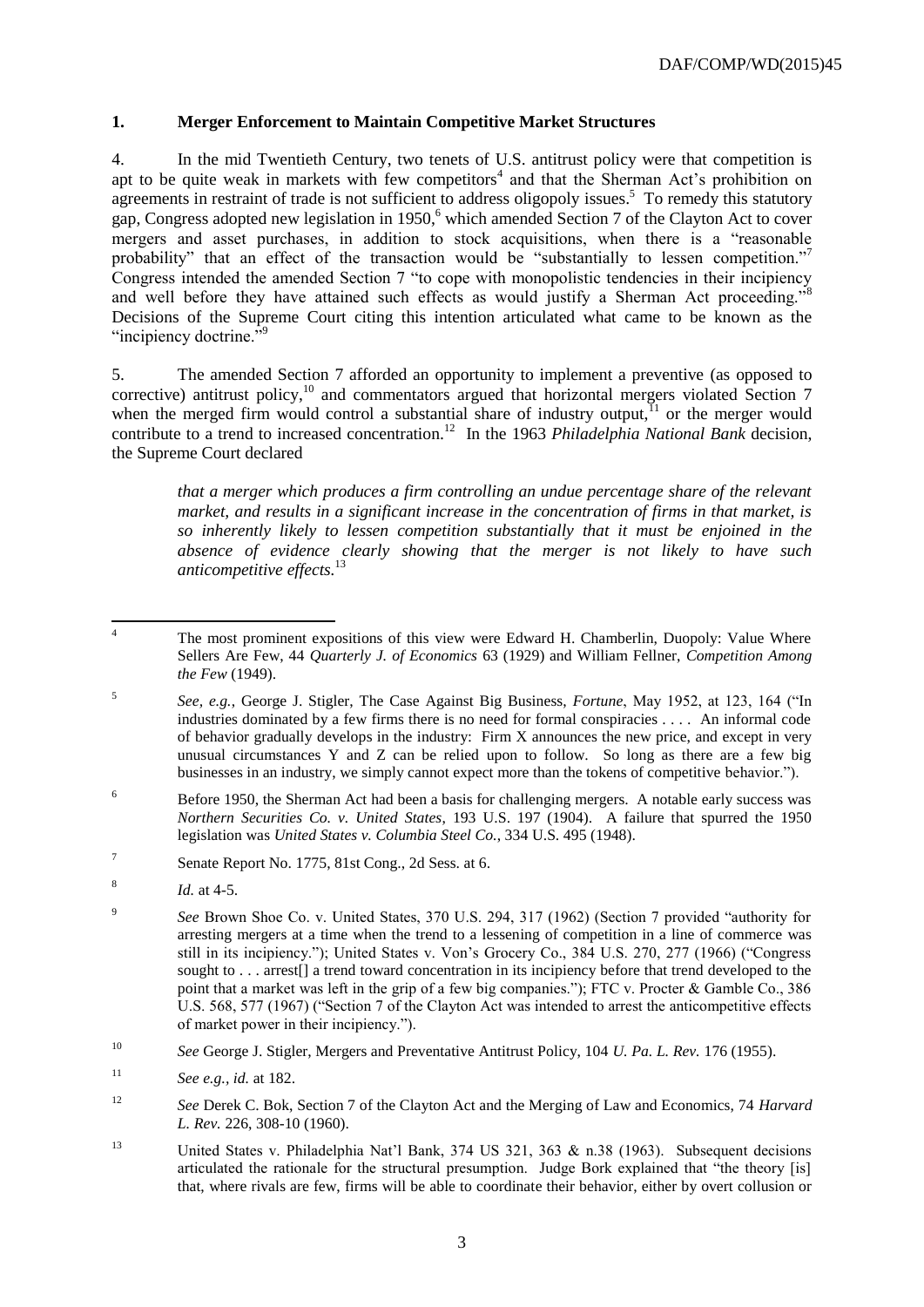## **1. Merger Enforcement to Maintain Competitive Market Structures**

4. In the mid Twentieth Century, two tenets of U.S. antitrust policy were that competition is apt to be quite weak in markets with few competitors<sup>4</sup> and that the Sherman Act's prohibition on agreements in restraint of trade is not sufficient to address oligopoly issues.<sup>5</sup> To remedy this statutory gap, Congress adopted new legislation in 1950,<sup>6</sup> which amended Section 7 of the Clayton Act to cover mergers and asset purchases, in addition to stock acquisitions, when there is a "reasonable probability" that an effect of the transaction would be "substantially to lessen competition."<sup>7</sup> Congress intended the amended Section 7 "to cope with monopolistic tendencies in their incipiency and well before they have attained such effects as would justify a Sherman Act proceeding."<sup>8</sup> Decisions of the Supreme Court citing this intention articulated what came to be known as the "incipiency doctrine."<sup>9</sup>

5. The amended Section 7 afforded an opportunity to implement a preventive (as opposed to corrective) antitrust policy,<sup>10</sup> and commentators argued that horizontal mergers violated Section 7 when the merged firm would control a substantial share of industry output,  $\tilde{I}$  or the merger would contribute to a trend to increased concentration.<sup>12</sup> In the 1963 *Philadelphia National Bank* decision, the Supreme Court declared

*that a merger which produces a firm controlling an undue percentage share of the relevant market, and results in a significant increase in the concentration of firms in that market, is so inherently likely to lessen competition substantially that it must be enjoined in the absence of evidence clearly showing that the merger is not likely to have such anticompetitive effects.*<sup>13</sup>

 $\overline{A}$ <sup>4</sup> The most prominent expositions of this view were Edward H. Chamberlin, Duopoly: Value Where Sellers Are Few, 44 *Quarterly J. of Economics* 63 (1929) and William Fellner, *Competition Among the Few* (1949).

<sup>5</sup> *See, e.g.*, George J. Stigler, The Case Against Big Business, *Fortune*, May 1952, at 123, 164 ("In industries dominated by a few firms there is no need for formal conspiracies . . . . An informal code of behavior gradually develops in the industry: Firm X announces the new price, and except in very unusual circumstances Y and Z can be relied upon to follow. So long as there are a few big businesses in an industry, we simply cannot expect more than the tokens of competitive behavior.").

<sup>&</sup>lt;sup>6</sup> Before 1950, the Sherman Act had been a basis for challenging mergers. A notable early success was *Northern Securities Co. v. United States*, 193 U.S. 197 (1904). A failure that spurred the 1950 legislation was *United States v. Columbia Steel Co.*, 334 U.S. 495 (1948).

<sup>7</sup> Senate Report No. 1775, 81st Cong., 2d Sess. at 6.

<sup>8</sup> *Id.* at 4-5.

<sup>9</sup> *See* Brown Shoe Co. v. United States, 370 U.S. 294, 317 (1962) (Section 7 provided "authority for arresting mergers at a time when the trend to a lessening of competition in a line of commerce was still in its incipiency."); United States v. Von's Grocery Co., 384 U.S. 270, 277 (1966) ("Congress sought to . . . arrest[] a trend toward concentration in its incipiency before that trend developed to the point that a market was left in the grip of a few big companies."); FTC v. Procter & Gamble Co., 386 U.S. 568, 577 (1967) ("Section 7 of the Clayton Act was intended to arrest the anticompetitive effects of market power in their incipiency.").

<sup>10</sup> *See* George J. Stigler, Mergers and Preventative Antitrust Policy, 104 *U. Pa. L. Rev.* 176 (1955).

<sup>11</sup> *See e.g., id.* at 182.

<sup>12</sup> *See* Derek C. Bok, Section 7 of the Clayton Act and the Merging of Law and Economics, 74 *Harvard L. Rev.* 226, 308-10 (1960).

<sup>13</sup> United States v. Philadelphia Nat'l Bank, 374 US 321, 363 & n.38 (1963). Subsequent decisions articulated the rationale for the structural presumption. Judge Bork explained that "the theory [is] that, where rivals are few, firms will be able to coordinate their behavior, either by overt collusion or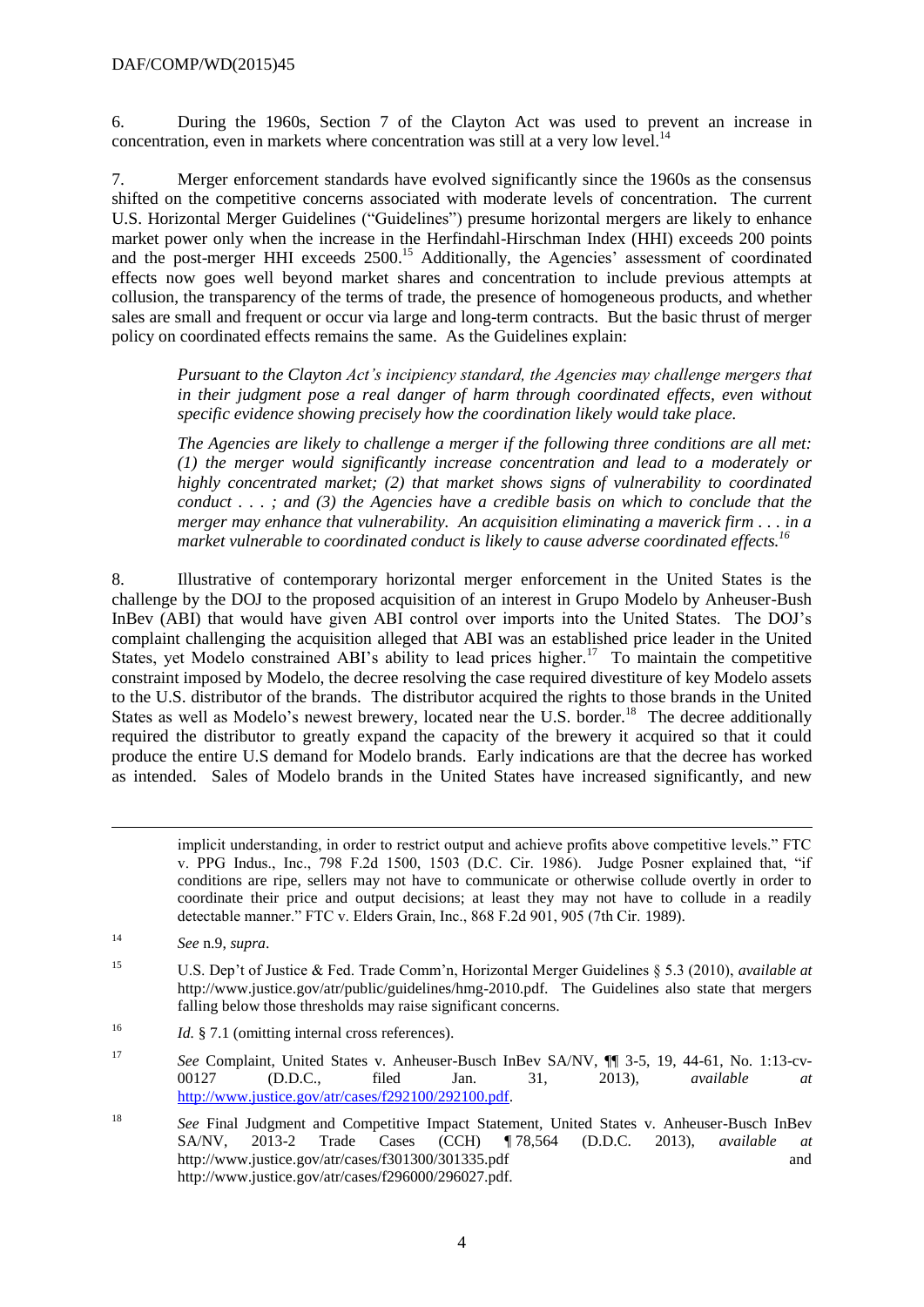6. During the 1960s, Section 7 of the Clayton Act was used to prevent an increase in concentration, even in markets where concentration was still at a very low level.<sup>14</sup>

7. Merger enforcement standards have evolved significantly since the 1960s as the consensus shifted on the competitive concerns associated with moderate levels of concentration. The current U.S. Horizontal Merger Guidelines ("Guidelines") presume horizontal mergers are likely to enhance market power only when the increase in the Herfindahl-Hirschman Index (HHI) exceeds 200 points and the post-merger HHI exceeds 2500. <sup>15</sup> Additionally, the Agencies' assessment of coordinated effects now goes well beyond market shares and concentration to include previous attempts at collusion, the transparency of the terms of trade, the presence of homogeneous products, and whether sales are small and frequent or occur via large and long-term contracts. But the basic thrust of merger policy on coordinated effects remains the same. As the Guidelines explain:

*Pursuant to the Clayton Act's incipiency standard, the Agencies may challenge mergers that in their judgment pose a real danger of harm through coordinated effects, even without specific evidence showing precisely how the coordination likely would take place.*

*The Agencies are likely to challenge a merger if the following three conditions are all met: (1) the merger would significantly increase concentration and lead to a moderately or highly concentrated market; (2) that market shows signs of vulnerability to coordinated conduct . . . ; and (3) the Agencies have a credible basis on which to conclude that the merger may enhance that vulnerability. An acquisition eliminating a maverick firm . . . in a market vulnerable to coordinated conduct is likely to cause adverse coordinated effects.<sup>16</sup>*

8. Illustrative of contemporary horizontal merger enforcement in the United States is the challenge by the DOJ to the proposed acquisition of an interest in Grupo Modelo by Anheuser-Bush InBev (ABI) that would have given ABI control over imports into the United States. The DOJ's complaint challenging the acquisition alleged that ABI was an established price leader in the United States, yet Modelo constrained ABI's ability to lead prices higher.<sup>17</sup> To maintain the competitive constraint imposed by Modelo, the decree resolving the case required divestiture of key Modelo assets to the U.S. distributor of the brands. The distributor acquired the rights to those brands in the United States as well as Modelo's newest brewery, located near the U.S. border.<sup>18</sup> The decree additionally required the distributor to greatly expand the capacity of the brewery it acquired so that it could produce the entire U.S demand for Modelo brands. Early indications are that the decree has worked as intended. Sales of Modelo brands in the United States have increased significantly, and new

implicit understanding, in order to restrict output and achieve profits above competitive levels." FTC v. PPG Indus., Inc., 798 F.2d 1500, 1503 (D.C. Cir. 1986). Judge Posner explained that, "if conditions are ripe, sellers may not have to communicate or otherwise collude overtly in order to coordinate their price and output decisions; at least they may not have to collude in a readily detectable manner." FTC v. Elders Grain, Inc., 868 F.2d 901, 905 (7th Cir. 1989).

-

<sup>16</sup> *Id.* § 7.1 (omitting internal cross references).

<sup>17</sup> *See* Complaint, United States v. Anheuser-Busch InBev SA/NV, ¶¶ 3-5, 19, 44-61, No. 1:13-cv-00127 (D.D.C., filed Jan. 31, 2013), *available at* [http://www.justice.gov/atr/cases/f292100/292100.pdf.](http://www.justice.gov/atr/cases/f292100/292100.pdf)

<sup>18</sup> *See* Final Judgment and Competitive Impact Statement, United States v. Anheuser-Busch InBev SA/NV, 2013-2 Trade Cases (CCH) ¶ 78,564 (D.D.C. 2013), *available at* http://www.justice.gov/atr/cases/f301300/301335.pdf and http://www.justice.gov/atr/cases/f296000/296027.pdf.

<sup>14</sup> *See* n.9, *supra*.

<sup>15</sup> U.S. Dep't of Justice & Fed. Trade Comm'n, Horizontal Merger Guidelines § 5.3 (2010), *available at* http://www.justice.gov/atr/public/guidelines/hmg-2010.pdf. The Guidelines also state that mergers falling below those thresholds may raise significant concerns.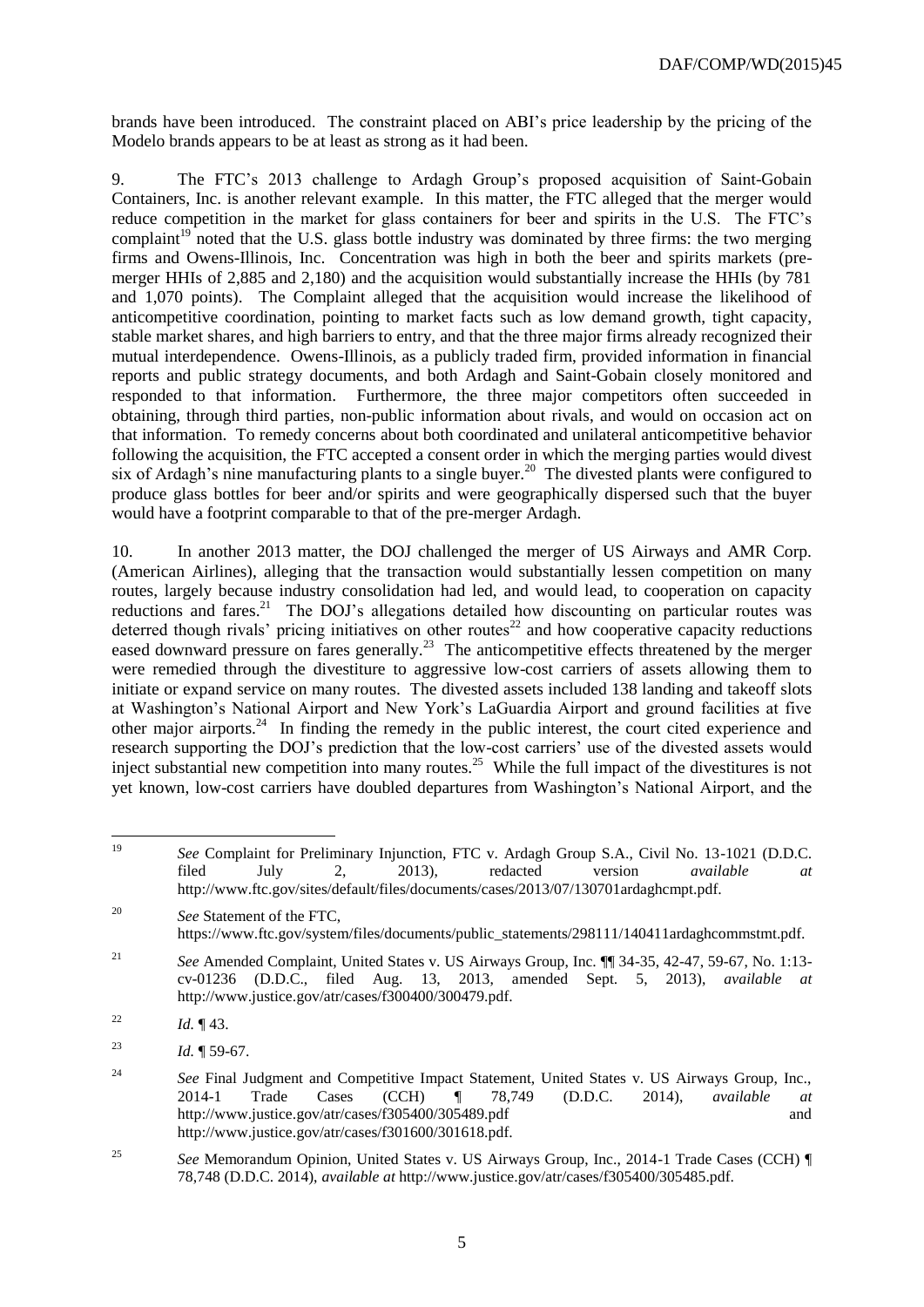brands have been introduced. The constraint placed on ABI's price leadership by the pricing of the Modelo brands appears to be at least as strong as it had been.

9. The FTC's 2013 challenge to Ardagh Group's proposed acquisition of Saint-Gobain Containers, Inc. is another relevant example. In this matter, the FTC alleged that the merger would reduce competition in the market for glass containers for beer and spirits in the U.S. The FTC's complaint<sup>19</sup> noted that the U.S. glass bottle industry was dominated by three firms: the two merging firms and Owens-Illinois, Inc. Concentration was high in both the beer and spirits markets (premerger HHIs of 2,885 and 2,180) and the acquisition would substantially increase the HHIs (by 781 and 1,070 points). The Complaint alleged that the acquisition would increase the likelihood of anticompetitive coordination, pointing to market facts such as low demand growth, tight capacity, stable market shares, and high barriers to entry, and that the three major firms already recognized their mutual interdependence. Owens-Illinois, as a publicly traded firm, provided information in financial reports and public strategy documents, and both Ardagh and Saint-Gobain closely monitored and responded to that information. Furthermore, the three major competitors often succeeded in obtaining, through third parties, non-public information about rivals, and would on occasion act on that information. To remedy concerns about both coordinated and unilateral anticompetitive behavior following the acquisition, the FTC accepted a consent order in which the merging parties would divest six of Ardagh's nine manufacturing plants to a single buyer.<sup>20</sup> The divested plants were configured to produce glass bottles for beer and/or spirits and were geographically dispersed such that the buyer would have a footprint comparable to that of the pre-merger Ardagh.

10. In another 2013 matter, the DOJ challenged the merger of US Airways and AMR Corp. (American Airlines), alleging that the transaction would substantially lessen competition on many routes, largely because industry consolidation had led, and would lead, to cooperation on capacity reductions and fares.<sup>21</sup> The DOJ's allegations detailed how discounting on particular routes was deterred though rivals' pricing initiatives on other routes<sup>22</sup> and how cooperative capacity reductions eased downward pressure on fares generally.<sup>23</sup> The anticompetitive effects threatened by the merger were remedied through the divestiture to aggressive low-cost carriers of assets allowing them to initiate or expand service on many routes. The divested assets included 138 landing and takeoff slots at Washington's National Airport and New York's LaGuardia Airport and ground facilities at five other major airports.<sup>24</sup> In finding the remedy in the public interest, the court cited experience and research supporting the DOJ's prediction that the low-cost carriers' use of the divested assets would inject substantial new competition into many routes.<sup>25</sup> While the full impact of the divestitures is not yet known, low-cost carriers have doubled departures from Washington's National Airport, and the

<sup>19</sup> <sup>19</sup> *See* Complaint for Preliminary Injunction, FTC v. Ardagh Group S.A., Civil No. 13-1021 (D.D.C. filed July 2, 2013), redacted version *available at* http://www.ftc.gov/sites/default/files/documents/cases/2013/07/130701ardaghcmpt.pdf.

<sup>20</sup> *See* Statement of the FTC, https://www.ftc.gov/system/files/documents/public\_statements/298111/140411ardaghcommstmt.pdf.

<sup>21</sup> *See* Amended Complaint, United States v. US Airways Group, Inc. ¶¶ 34-35, 42-47, 59-67, No. 1:13 cv-01236 (D.D.C., filed Aug. 13, 2013, amended Sept. 5, 2013), *available at* http://www.justice.gov/atr/cases/f300400/300479.pdf.

<sup>&</sup>lt;sup>22</sup> *Id.*  $\P$  43.

<sup>23</sup> *Id.* ¶ 59-67.

<sup>&</sup>lt;sup>24</sup> *See* Final Judgment and Competitive Impact Statement, United States v. US Airways Group, Inc., 2014-1 Trade Cases (CCH) ¶ 78,749 (D.D.C. 2014), *available at* http://www.justice.gov/atr/cases/f305400/305489.pdf and http://www.justice.gov/atr/cases/f301600/301618.pdf.

<sup>25</sup> *See* Memorandum Opinion, United States v. US Airways Group, Inc., 2014-1 Trade Cases (CCH) ¶ 78,748 (D.D.C. 2014), *available at* http://www.justice.gov/atr/cases/f305400/305485.pdf.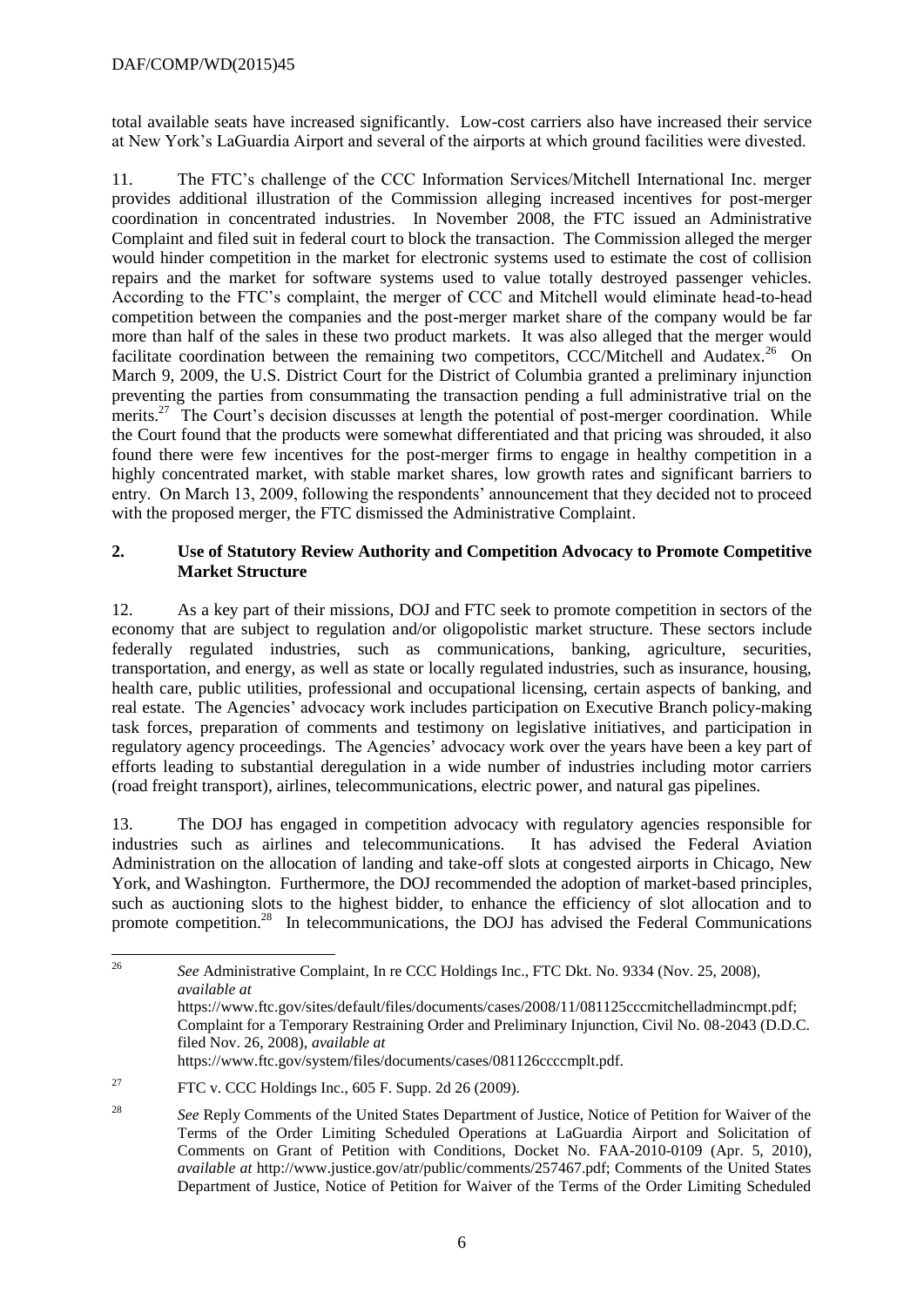total available seats have increased significantly. Low-cost carriers also have increased their service at New York's LaGuardia Airport and several of the airports at which ground facilities were divested.

11. The FTC's challenge of the CCC Information Services/Mitchell International Inc. merger provides additional illustration of the Commission alleging increased incentives for post-merger coordination in concentrated industries. In November 2008, the FTC issued an Administrative Complaint and filed suit in federal court to block the transaction. The Commission alleged the merger would hinder competition in the market for electronic systems used to estimate the cost of collision repairs and the market for software systems used to value totally destroyed passenger vehicles. According to the FTC's complaint, the merger of CCC and Mitchell would eliminate head-to-head competition between the companies and the post-merger market share of the company would be far more than half of the sales in these two product markets. It was also alleged that the merger would facilitate coordination between the remaining two competitors, CCC/Mitchell and Audatex.<sup>26</sup> On March 9, 2009, the U.S. District Court for the District of Columbia granted a preliminary injunction preventing the parties from consummating the transaction pending a full administrative trial on the merits.<sup>27</sup> The Court's decision discusses at length the potential of post-merger coordination. While the Court found that the products were somewhat differentiated and that pricing was shrouded, it also found there were few incentives for the post-merger firms to engage in healthy competition in a highly concentrated market, with stable market shares, low growth rates and significant barriers to entry. On March 13, 2009, following the respondents' announcement that they decided not to proceed with the proposed merger, the FTC dismissed the Administrative Complaint.

# **2. Use of Statutory Review Authority and Competition Advocacy to Promote Competitive Market Structure**

12. As a key part of their missions, DOJ and FTC seek to promote competition in sectors of the economy that are subject to regulation and/or oligopolistic market structure. These sectors include federally regulated industries, such as communications, banking, agriculture, securities, transportation, and energy, as well as state or locally regulated industries, such as insurance, housing, health care, public utilities, professional and occupational licensing, certain aspects of banking, and real estate. The Agencies' advocacy work includes participation on Executive Branch policy-making task forces, preparation of comments and testimony on legislative initiatives, and participation in regulatory agency proceedings. The Agencies' advocacy work over the years have been a key part of efforts leading to substantial deregulation in a wide number of industries including motor carriers (road freight transport), airlines, telecommunications, electric power, and natural gas pipelines.

13. The DOJ has engaged in competition advocacy with regulatory agencies responsible for industries such as airlines and telecommunications. It has advised the Federal Aviation Administration on the allocation of landing and take-off slots at congested airports in Chicago, New York, and Washington. Furthermore, the DOJ recommended the adoption of market-based principles, such as auctioning slots to the highest bidder, to enhance the efficiency of slot allocation and to promote competition.<sup>28</sup> In telecommunications, the DOJ has advised the Federal Communications

<sup>26</sup> <sup>26</sup> *See* Administrative Complaint, In re CCC Holdings Inc., FTC Dkt. No. 9334 (Nov. 25, 2008), *available at* https://www.ftc.gov/sites/default/files/documents/cases/2008/11/081125cccmitchelladmincmpt.pdf; Complaint for a Temporary Restraining Order and Preliminary Injunction, Civil No. 08-2043 (D.D.C. filed Nov. 26, 2008), *available at* https://www.ftc.gov/system/files/documents/cases/081126ccccmplt.pdf.

<sup>&</sup>lt;sup>27</sup> FTC v. CCC Holdings Inc., 605 F. Supp. 2d 26 (2009).

<sup>28</sup> *See* Reply Comments of the United States Department of Justice, Notice of Petition for Waiver of the Terms of the Order Limiting Scheduled Operations at LaGuardia Airport and Solicitation of Comments on Grant of Petition with Conditions, Docket No. FAA-2010-0109 (Apr. 5, 2010), *available at* http://www.justice.gov/atr/public/comments/257467.pdf; Comments of the United States Department of Justice, Notice of Petition for Waiver of the Terms of the Order Limiting Scheduled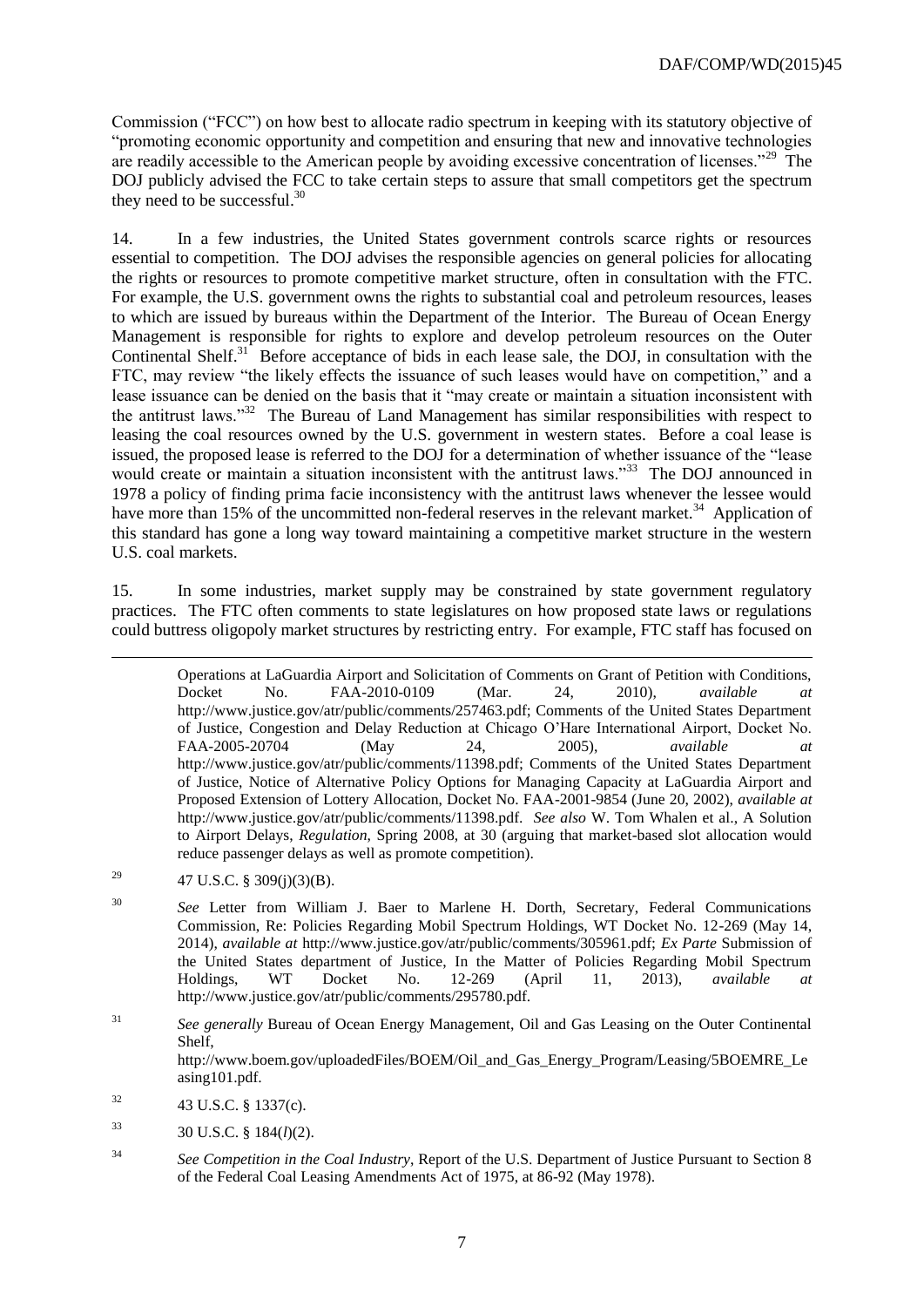Commission ("FCC") on how best to allocate radio spectrum in keeping with its statutory objective of "promoting economic opportunity and competition and ensuring that new and innovative technologies are readily accessible to the American people by avoiding excessive concentration of licenses."<sup>29</sup> The DOJ publicly advised the FCC to take certain steps to assure that small competitors get the spectrum they need to be successful.<sup>30</sup>

14. In a few industries, the United States government controls scarce rights or resources essential to competition. The DOJ advises the responsible agencies on general policies for allocating the rights or resources to promote competitive market structure, often in consultation with the FTC. For example, the U.S. government owns the rights to substantial coal and petroleum resources, leases to which are issued by bureaus within the Department of the Interior. The Bureau of Ocean Energy Management is responsible for rights to explore and develop petroleum resources on the Outer Continental Shelf.<sup>31</sup> Before acceptance of bids in each lease sale, the DOJ, in consultation with the FTC, may review "the likely effects the issuance of such leases would have on competition," and a lease issuance can be denied on the basis that it "may create or maintain a situation inconsistent with the antitrust laws."<sup>32</sup> The Bureau of Land Management has similar responsibilities with respect to leasing the coal resources owned by the U.S. government in western states. Before a coal lease is issued, the proposed lease is referred to the DOJ for a determination of whether issuance of the "lease would create or maintain a situation inconsistent with the antitrust laws."<sup>33</sup> The DOJ announced in 1978 a policy of finding prima facie inconsistency with the antitrust laws whenever the lessee would have more than 15% of the uncommitted non-federal reserves in the relevant market.<sup>34</sup> Application of this standard has gone a long way toward maintaining a competitive market structure in the western U.S. coal markets.

15. In some industries, market supply may be constrained by state government regulatory practices. The FTC often comments to state legislatures on how proposed state laws or regulations could buttress oligopoly market structures by restricting entry. For example, FTC staff has focused on

-

Operations at LaGuardia Airport and Solicitation of Comments on Grant of Petition with Conditions, Docket No. FAA-2010-0109 (Mar. 24, 2010), *available at* http://www.justice.gov/atr/public/comments/257463.pdf; Comments of the United States Department of Justice, Congestion and Delay Reduction at Chicago O'Hare International Airport, Docket No. FAA-2005-20704 (May 24, 2005), *available at* http://www.justice.gov/atr/public/comments/11398.pdf; Comments of the United States Department of Justice, Notice of Alternative Policy Options for Managing Capacity at LaGuardia Airport and Proposed Extension of Lottery Allocation, Docket No. FAA-2001-9854 (June 20, 2002), *available at* http://www.justice.gov/atr/public/comments/11398.pdf. *See also* W. Tom Whalen et al., A Solution to Airport Delays, *Regulation*, Spring 2008, at 30 (arguing that market-based slot allocation would reduce passenger delays as well as promote competition).

<sup>&</sup>lt;sup>29</sup> 47 U.S.C. § 309(j)(3)(B).

<sup>&</sup>lt;sup>30</sup> *See* Letter from William J. Baer to Marlene H. Dorth, Secretary, Federal Communications Commission, Re: Policies Regarding Mobil Spectrum Holdings, WT Docket No. 12-269 (May 14, 2014), *available at* http://www.justice.gov/atr/public/comments/305961.pdf; *Ex Parte* Submission of the United States department of Justice, In the Matter of Policies Regarding Mobil Spectrum Holdings, WT Docket No. 12-269 (April 11, 2013), *available at* http://www.justice.gov/atr/public/comments/295780.pdf.

<sup>31</sup> *See generally* Bureau of Ocean Energy Management, Oil and Gas Leasing on the Outer Continental Shelf, http://www.boem.gov/uploadedFiles/BOEM/Oil\_and\_Gas\_Energy\_Program/Leasing/5BOEMRE\_Le asing101.pdf.

 $32$  43 U.S.C. § 1337(c).

 $33$  30 U.S.C. § 184(*l*)(2).

<sup>34</sup> *See Competition in the Coal Industry*, Report of the U.S. Department of Justice Pursuant to Section 8 of the Federal Coal Leasing Amendments Act of 1975, at 86-92 (May 1978).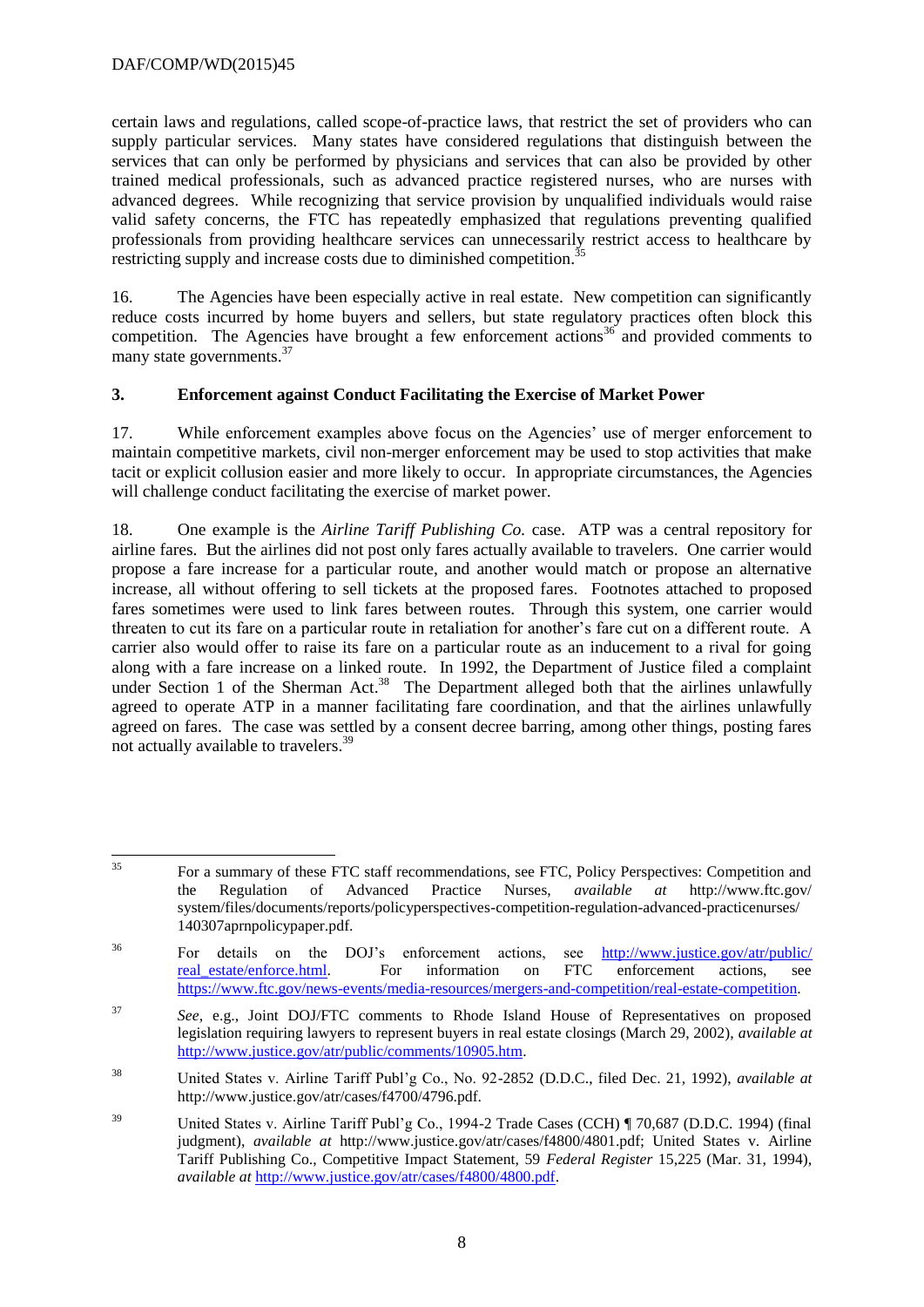certain laws and regulations, called scope-of-practice laws, that restrict the set of providers who can supply particular services. Many states have considered regulations that distinguish between the services that can only be performed by physicians and services that can also be provided by other trained medical professionals, such as advanced practice registered nurses, who are nurses with advanced degrees. While recognizing that service provision by unqualified individuals would raise valid safety concerns, the FTC has repeatedly emphasized that regulations preventing qualified professionals from providing healthcare services can unnecessarily restrict access to healthcare by restricting supply and increase costs due to diminished competition.<sup>3</sup>

16. The Agencies have been especially active in real estate. New competition can significantly reduce costs incurred by home buyers and sellers, but state regulatory practices often block this competition. The Agencies have brought a few enforcement actions<sup>36</sup> and provided comments to many state governments.<sup>37</sup>

### **3. Enforcement against Conduct Facilitating the Exercise of Market Power**

17. While enforcement examples above focus on the Agencies' use of merger enforcement to maintain competitive markets, civil non-merger enforcement may be used to stop activities that make tacit or explicit collusion easier and more likely to occur. In appropriate circumstances, the Agencies will challenge conduct facilitating the exercise of market power.

18. One example is the *Airline Tariff Publishing Co.* case. ATP was a central repository for airline fares. But the airlines did not post only fares actually available to travelers. One carrier would propose a fare increase for a particular route, and another would match or propose an alternative increase, all without offering to sell tickets at the proposed fares. Footnotes attached to proposed fares sometimes were used to link fares between routes. Through this system, one carrier would threaten to cut its fare on a particular route in retaliation for another's fare cut on a different route. A carrier also would offer to raise its fare on a particular route as an inducement to a rival for going along with a fare increase on a linked route. In 1992, the Department of Justice filed a complaint under Section 1 of the Sherman Act.<sup>38</sup> The Department alleged both that the airlines unlawfully agreed to operate ATP in a manner facilitating fare coordination, and that the airlines unlawfully agreed on fares. The case was settled by a consent decree barring, among other things, posting fares not actually available to travelers.<sup>39</sup>

<sup>35</sup> <sup>35</sup> For a summary of these FTC staff recommendations, see FTC, Policy Perspectives: Competition and the Regulation of Advanced Practice Nurses, *available at* http://www.ftc.gov/ system/files/documents/reports/policyperspectives-competition-regulation-advanced-practicenurses/ 140307aprnpolicypaper.pdf.

<sup>36</sup> For details on the DOJ's enforcement actions, see [http://www.justice.gov/atr/public/](http://www.justice.gov/‌atr/public/‌real_estate/enforce.‌html) real estate/enforce.html. For information on FTC enforcement actions, see [https://www.ftc.gov/news-events/media-resources/mergers-and-competition/real-estate-competition.](https://www.ftc.gov/news-events/media-resources/mergers-and-competition/real-estate-competition)

<sup>37</sup> *See,* e.g., Joint DOJ/FTC comments to Rhode Island House of Representatives on proposed legislation requiring lawyers to represent buyers in real estate closings (March 29, 2002), *available at* [http://www.justice.gov/atr/public/comments/10905.htm.](http://www.justice.gov/atr/public/comments/10905.htm)

<sup>38</sup> United States v. Airline Tariff Publ'g Co., No. 92-2852 (D.D.C., filed Dec. 21, 1992), *available at* http://www.justice.gov/atr/cases/f4700/4796.pdf.

<sup>&</sup>lt;sup>39</sup> United States v. Airline Tariff Publ'g Co., 1994-2 Trade Cases (CCH) ¶ 70,687 (D.D.C. 1994) (final judgment), *available at* http://www.justice.gov/atr/cases/f4800/4801.pdf; United States v. Airline Tariff Publishing Co., Competitive Impact Statement, 59 *Federal Register* 15,225 (Mar. 31, 1994), *available at* [http://www.justice.gov/atr/cases/f4800/4800.pdf.](http://www.justice.gov/atr/cases/f4800/4800.pdf)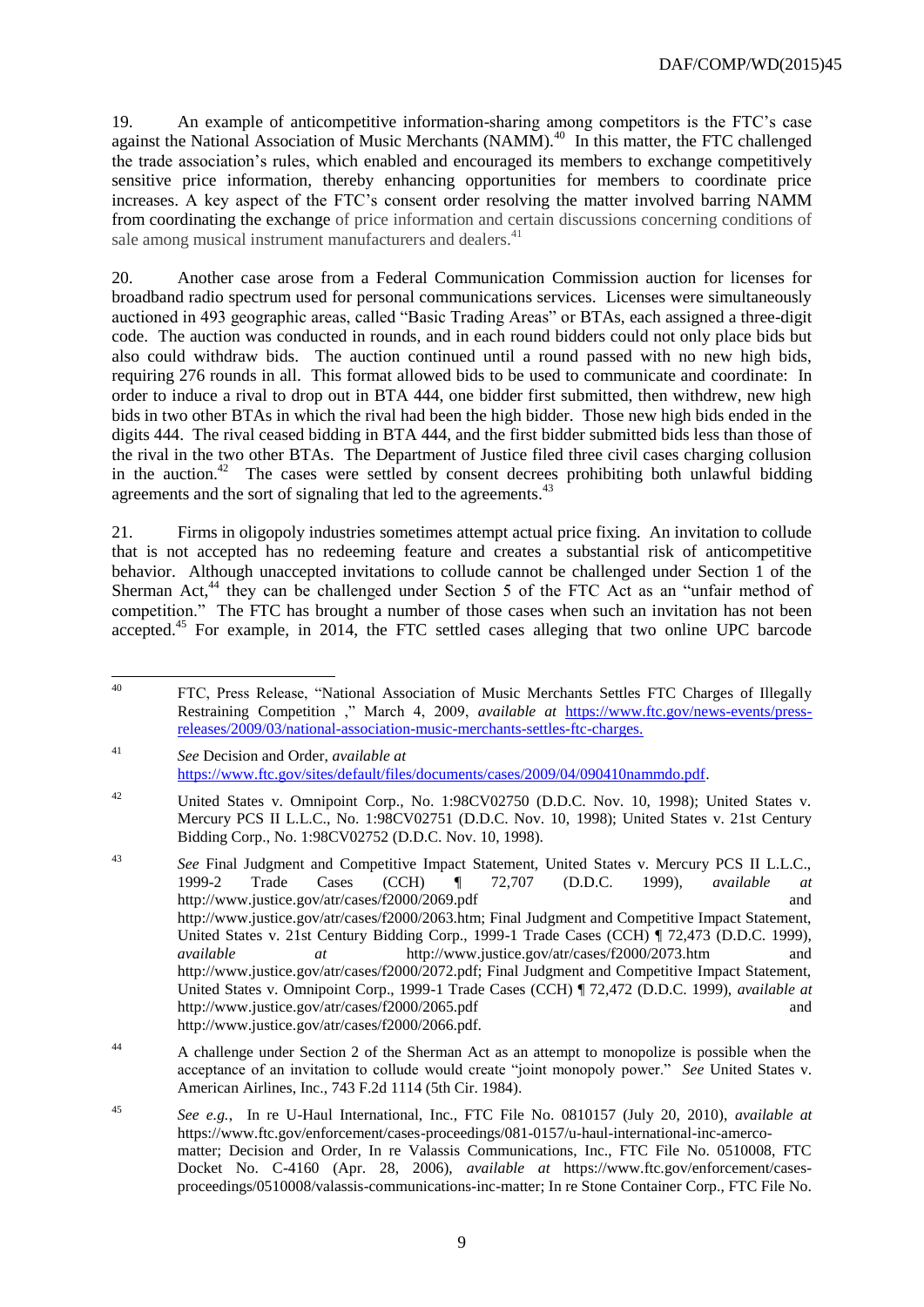19. An example of anticompetitive information-sharing among competitors is the FTC's case against the National Association of Music Merchants (NAMM).<sup>40</sup> In this matter, the FTC challenged the trade association's rules, which enabled and encouraged its members to exchange competitively sensitive price information, thereby enhancing opportunities for members to coordinate price increases. A key aspect of the FTC's consent order resolving the matter involved barring NAMM from coordinating the exchange of price information and certain discussions concerning conditions of sale among musical instrument manufacturers and dealers.<sup>41</sup>

20. Another case arose from a Federal Communication Commission auction for licenses for broadband radio spectrum used for personal communications services. Licenses were simultaneously auctioned in 493 geographic areas, called "Basic Trading Areas" or BTAs, each assigned a three-digit code. The auction was conducted in rounds, and in each round bidders could not only place bids but also could withdraw bids. The auction continued until a round passed with no new high bids, requiring 276 rounds in all. This format allowed bids to be used to communicate and coordinate: In order to induce a rival to drop out in BTA 444, one bidder first submitted, then withdrew, new high bids in two other BTAs in which the rival had been the high bidder. Those new high bids ended in the digits 444. The rival ceased bidding in BTA 444, and the first bidder submitted bids less than those of the rival in the two other BTAs. The Department of Justice filed three civil cases charging collusion in the auction.<sup>42</sup> The cases were settled by consent decrees prohibiting both unlawful bidding agreements and the sort of signaling that led to the agreements.<sup>43</sup>

21. Firms in oligopoly industries sometimes attempt actual price fixing. An invitation to collude that is not accepted has no redeeming feature and creates a substantial risk of anticompetitive behavior. Although unaccepted invitations to collude cannot be challenged under Section 1 of the Sherman Act,<sup>44</sup> they can be challenged under Section 5 of the FTC Act as an "unfair method of competition." The FTC has brought a number of those cases when such an invitation has not been accepted.<sup>45</sup> For example, in 2014, the FTC settled cases alleging that two online UPC barcode

 $40\,$ <sup>40</sup> FTC, Press Release, "National Association of Music Merchants Settles FTC Charges of Illegally Restraining Competition ," March 4, 2009, *available at* [https://www.ftc.gov/news-events/press](https://www.ftc.gov/news-events/press-releases/2009/03/national-association-music-merchants-settles-ftc-charges)[releases/2009/03/national-association-music-merchants-settles-ftc-charges.](https://www.ftc.gov/news-events/press-releases/2009/03/national-association-music-merchants-settles-ftc-charges)

<sup>41</sup> *See* Decision and Order, *available at*  [https://www.ftc.gov/sites/default/files/documents/cases/2009/04/090410nammdo.pdf.](https://www.ftc.gov/sites/default/files/documents/cases/2009/04/090410nammdo.pdf)

<sup>&</sup>lt;sup>42</sup> United States v. Omnipoint Corp., No. 1:98CV02750 (D.D.C. Nov. 10, 1998); United States v. Mercury PCS II L.L.C., No. 1:98CV02751 (D.D.C. Nov. 10, 1998); United States v. 21st Century Bidding Corp., No. 1:98CV02752 (D.D.C. Nov. 10, 1998).

<sup>43</sup> *See* Final Judgment and Competitive Impact Statement, United States v. Mercury PCS II L.L.C., 1999-2 Trade Cases (CCH) ¶ 72,707 (D.D.C. 1999), *available at* http://www.justice.gov/atr/cases/f2000/2069.pdf and http://www.justice.gov/atr/cases/f2000/2063.htm; Final Judgment and Competitive Impact Statement, United States v. 21st Century Bidding Corp., 1999-1 Trade Cases (CCH) ¶ 72,473 (D.D.C. 1999), *available at* http://www.justice.gov/atr/cases/f2000/2073.htm and http://www.justice.gov/atr/cases/f2000/2072.pdf; Final Judgment and Competitive Impact Statement, United States v. Omnipoint Corp., 1999-1 Trade Cases (CCH) ¶ 72,472 (D.D.C. 1999), *available at* http://www.justice.gov/atr/cases/f2000/2065.pdf and http://www.justice.gov/atr/cases/f2000/2066.pdf.

<sup>44</sup> A challenge under Section 2 of the Sherman Act as an attempt to monopolize is possible when the acceptance of an invitation to collude would create "joint monopoly power." *See* United States v. American Airlines, Inc., 743 F.2d 1114 (5th Cir. 1984).

<sup>45</sup> *See e.g.*, In re U-Haul International, Inc., FTC File No. 0810157 (July 20, 2010), *available at* https://www.ftc.gov/enforcement/cases-proceedings/081-0157/u-haul-international-inc-amercomatter; Decision and Order, In re Valassis Communications, Inc., FTC File No. 0510008, FTC Docket No. C-4160 (Apr. 28, 2006), *available at* https://www.ftc.gov/enforcement/casesproceedings/0510008/valassis-communications-inc-matter; In re Stone Container Corp., FTC File No.